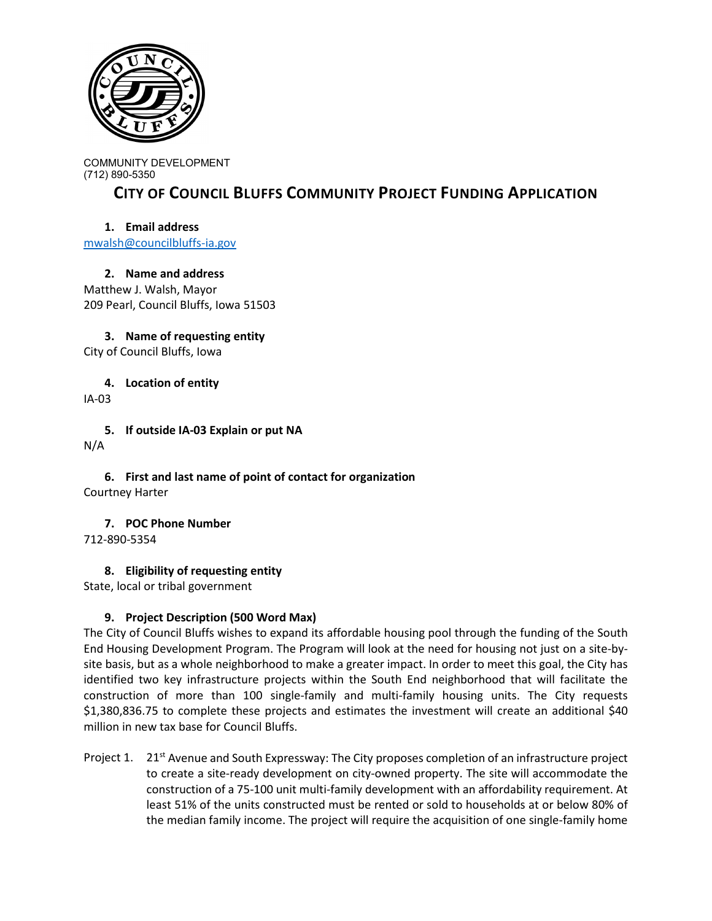

COMMUNITY DEVELOPMENT (712) 890-5350

# **CITY OF COUNCIL BLUFFS COMMUNITY PROJECT FUNDING APPLICATION**

## **1. Email address**

[mwalsh@councilbluffs-ia.gov](mailto:mwalsh@councilbluffs-ia.gov)

**2. Name and address** Matthew J. Walsh, Mayor 209 Pearl, Council Bluffs, Iowa 51503

**3. Name of requesting entity** City of Council Bluffs, Iowa

**4. Location of entity**

IA-03

**5. If outside IA-03 Explain or put NA** N/A

**6. First and last name of point of contact for organization** Courtney Harter

**7. POC Phone Number** 712-890-5354

**8. Eligibility of requesting entity**

State, local or tribal government

## **9. Project Description (500 Word Max)**

The City of Council Bluffs wishes to expand its affordable housing pool through the funding of the South End Housing Development Program. The Program will look at the need for housing not just on a site-bysite basis, but as a whole neighborhood to make a greater impact. In order to meet this goal, the City has identified two key infrastructure projects within the South End neighborhood that will facilitate the construction of more than 100 single-family and multi-family housing units. The City requests \$1,380,836.75 to complete these projects and estimates the investment will create an additional \$40 million in new tax base for Council Bluffs.

Project 1. 21<sup>st</sup> Avenue and South Expressway: The City proposes completion of an infrastructure project to create a site-ready development on city-owned property. The site will accommodate the construction of a 75-100 unit multi-family development with an affordability requirement. At least 51% of the units constructed must be rented or sold to households at or below 80% of the median family income. The project will require the acquisition of one single-family home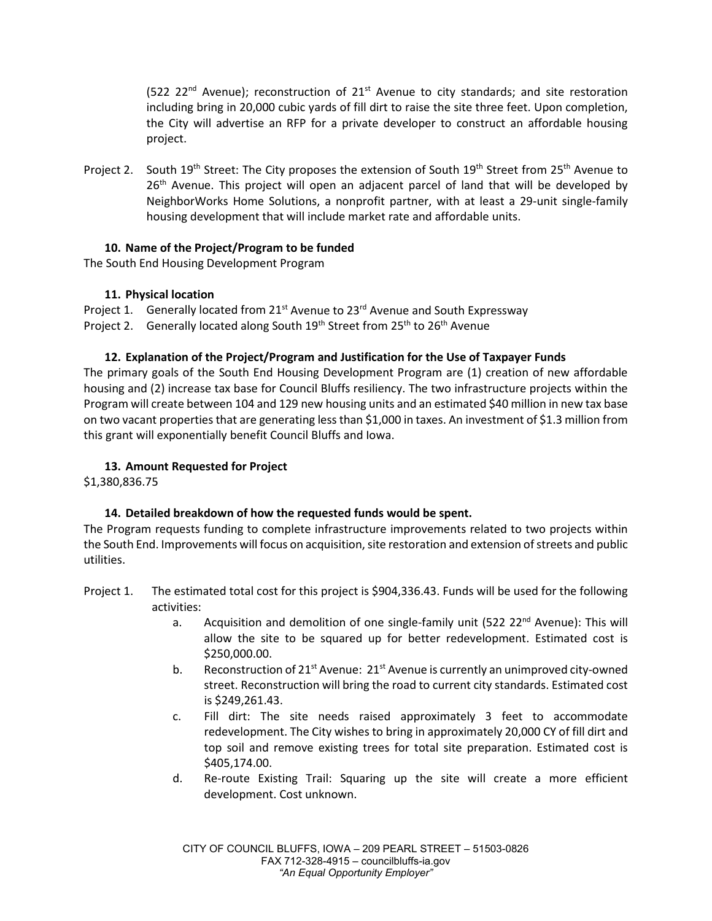$(522 \t22<sup>nd</sup>$  Avenue); reconstruction of  $21<sup>st</sup>$  Avenue to city standards; and site restoration including bring in 20,000 cubic yards of fill dirt to raise the site three feet. Upon completion, the City will advertise an RFP for a private developer to construct an affordable housing project.

Project 2. South 19<sup>th</sup> Street: The City proposes the extension of South 19<sup>th</sup> Street from 25<sup>th</sup> Avenue to 26<sup>th</sup> Avenue. This project will open an adjacent parcel of land that will be developed by NeighborWorks Home Solutions, a nonprofit partner, with at least a 29-unit single-family housing development that will include market rate and affordable units.

## **10. Name of the Project/Program to be funded**

The South End Housing Development Program

## **11. Physical location**

Project 1. Generally located from  $21^{st}$  Avenue to  $23^{rd}$  Avenue and South Expressway Project 2. Generally located along South 19<sup>th</sup> Street from 25<sup>th</sup> to 26<sup>th</sup> Avenue

## **12. Explanation of the Project/Program and Justification for the Use of Taxpayer Funds**

The primary goals of the South End Housing Development Program are (1) creation of new affordable housing and (2) increase tax base for Council Bluffs resiliency. The two infrastructure projects within the Program will create between 104 and 129 new housing units and an estimated \$40 million in new tax base on two vacant properties that are generating less than \$1,000 in taxes. An investment of \$1.3 million from this grant will exponentially benefit Council Bluffs and Iowa.

## **13. Amount Requested for Project**

\$1,380,836.75

## **14. Detailed breakdown of how the requested funds would be spent.**

The Program requests funding to complete infrastructure improvements related to two projects within the South End. Improvements will focus on acquisition, site restoration and extension of streets and public utilities.

- Project 1. The estimated total cost for this project is \$904,336.43. Funds will be used for the following activities:
	- a. Acquisition and demolition of one single-family unit (522 22 $^{nd}$  Avenue): This will allow the site to be squared up for better redevelopment. Estimated cost is \$250,000.00.
	- b. Reconstruction of  $21^{st}$  Avenue:  $21^{st}$  Avenue is currently an unimproved city-owned street. Reconstruction will bring the road to current city standards. Estimated cost is \$249,261.43.
	- c. Fill dirt: The site needs raised approximately 3 feet to accommodate redevelopment. The City wishes to bring in approximately 20,000 CY of fill dirt and top soil and remove existing trees for total site preparation. Estimated cost is \$405,174.00.
	- d. Re-route Existing Trail: Squaring up the site will create a more efficient development. Cost unknown.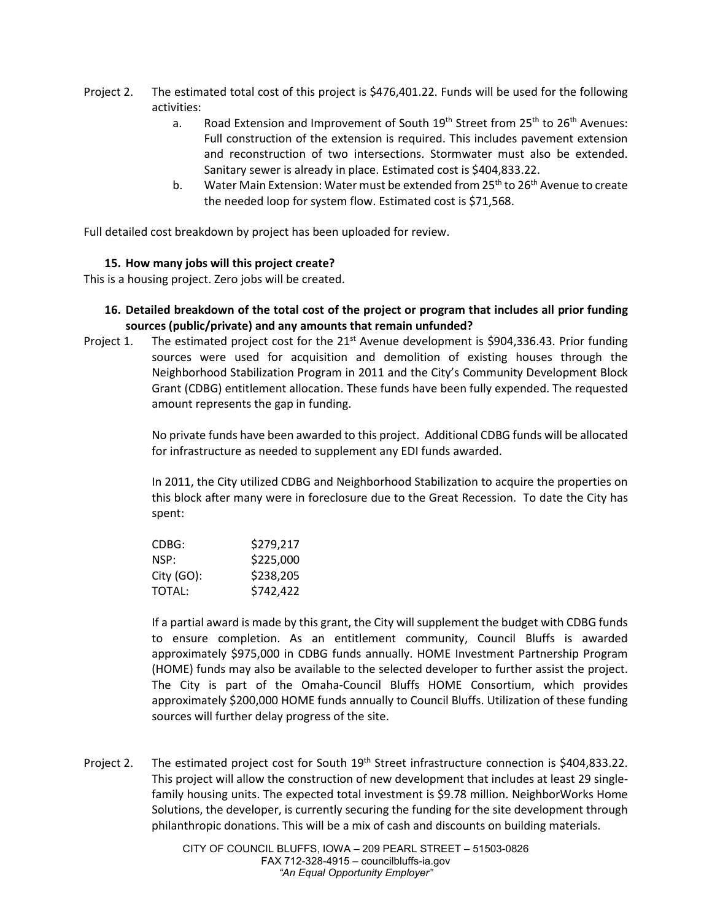- Project 2. The estimated total cost of this project is \$476,401.22. Funds will be used for the following activities:
	- a. Road Extension and Improvement of South  $19<sup>th</sup>$  Street from 25<sup>th</sup> to 26<sup>th</sup> Avenues: Full construction of the extension is required. This includes pavement extension and reconstruction of two intersections. Stormwater must also be extended. Sanitary sewer is already in place. Estimated cost is \$404,833.22.
	- b. Water Main Extension: Water must be extended from  $25<sup>th</sup>$  to  $26<sup>th</sup>$  Avenue to create the needed loop for system flow. Estimated cost is \$71,568.

Full detailed cost breakdown by project has been uploaded for review.

#### **15. How many jobs will this project create?**

This is a housing project. Zero jobs will be created.

#### **16. Detailed breakdown of the total cost of the project or program that includes all prior funding sources (public/private) and any amounts that remain unfunded?**

Project 1. The estimated project cost for the  $21<sup>st</sup>$  Avenue development is \$904,336.43. Prior funding sources were used for acquisition and demolition of existing houses through the Neighborhood Stabilization Program in 2011 and the City's Community Development Block Grant (CDBG) entitlement allocation. These funds have been fully expended. The requested amount represents the gap in funding.

> No private funds have been awarded to this project. Additional CDBG funds will be allocated for infrastructure as needed to supplement any EDI funds awarded.

> In 2011, the City utilized CDBG and Neighborhood Stabilization to acquire the properties on this block after many were in foreclosure due to the Great Recession. To date the City has spent:

| CDBG:      | \$279,217 |
|------------|-----------|
| NSP:       | \$225,000 |
| City (GO): | \$238,205 |
| TOTAL:     | \$742,422 |

If a partial award is made by this grant, the City will supplement the budget with CDBG funds to ensure completion. As an entitlement community, Council Bluffs is awarded approximately \$975,000 in CDBG funds annually. HOME Investment Partnership Program (HOME) funds may also be available to the selected developer to further assist the project. The City is part of the Omaha-Council Bluffs HOME Consortium, which provides approximately \$200,000 HOME funds annually to Council Bluffs. Utilization of these funding sources will further delay progress of the site.

Project 2. The estimated project cost for South 19<sup>th</sup> Street infrastructure connection is \$404,833.22. This project will allow the construction of new development that includes at least 29 singlefamily housing units. The expected total investment is \$9.78 million. NeighborWorks Home Solutions, the developer, is currently securing the funding for the site development through philanthropic donations. This will be a mix of cash and discounts on building materials.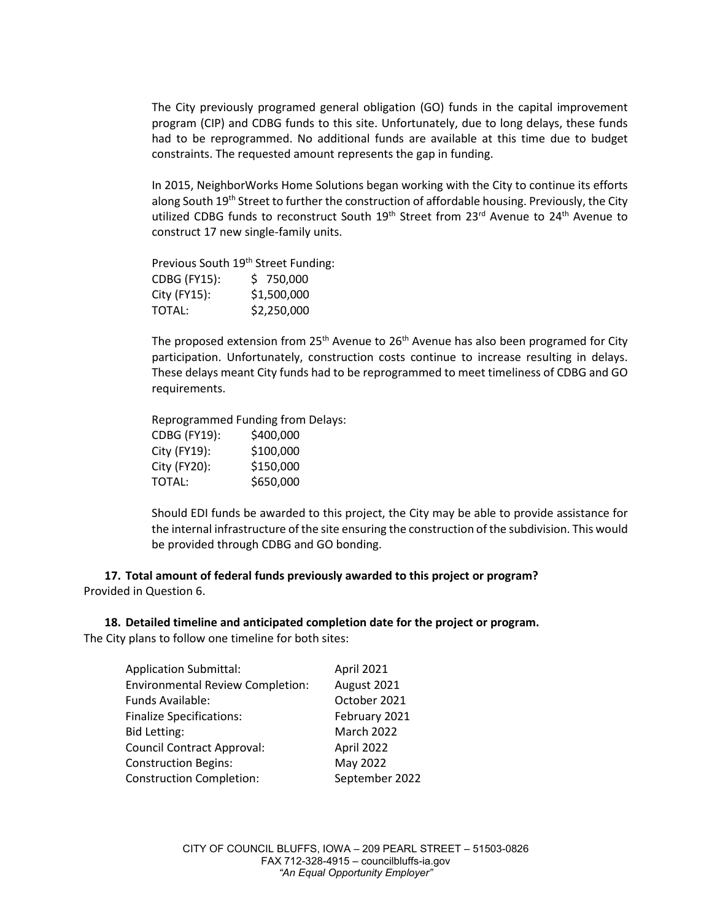The City previously programed general obligation (GO) funds in the capital improvement program (CIP) and CDBG funds to this site. Unfortunately, due to long delays, these funds had to be reprogrammed. No additional funds are available at this time due to budget constraints. The requested amount represents the gap in funding.

In 2015, NeighborWorks Home Solutions began working with the City to continue its efforts along South 19<sup>th</sup> Street to further the construction of affordable housing. Previously, the City utilized CDBG funds to reconstruct South  $19<sup>th</sup>$  Street from 23<sup>rd</sup> Avenue to 24<sup>th</sup> Avenue to construct 17 new single-family units.

Previous South 19<sup>th</sup> Street Funding: CDBG (FY15): \$ 750,000 City (FY15): \$1,500,000 TOTAL: \$2,250,000

The proposed extension from 25<sup>th</sup> Avenue to 26<sup>th</sup> Avenue has also been programed for City participation. Unfortunately, construction costs continue to increase resulting in delays. These delays meant City funds had to be reprogrammed to meet timeliness of CDBG and GO requirements.

Reprogrammed Funding from Delays: CDBG (FY19): \$400,000 City (FY19): \$100,000 City (FY20): \$150,000 TOTAL: \$650,000

Should EDI funds be awarded to this project, the City may be able to provide assistance for the internal infrastructure of the site ensuring the construction of the subdivision. This would be provided through CDBG and GO bonding.

**17. Total amount of federal funds previously awarded to this project or program?** Provided in Question 6.

**18. Detailed timeline and anticipated completion date for the project or program.** The City plans to follow one timeline for both sites:

| <b>Application Submittal:</b>           | April 2021        |
|-----------------------------------------|-------------------|
| <b>Environmental Review Completion:</b> | August 2021       |
| Funds Available:                        | October 2021      |
| <b>Finalize Specifications:</b>         | February 2021     |
| <b>Bid Letting:</b>                     | <b>March 2022</b> |
| Council Contract Approval:              | April 2022        |
| <b>Construction Begins:</b>             | May 2022          |
| <b>Construction Completion:</b>         | September 2022    |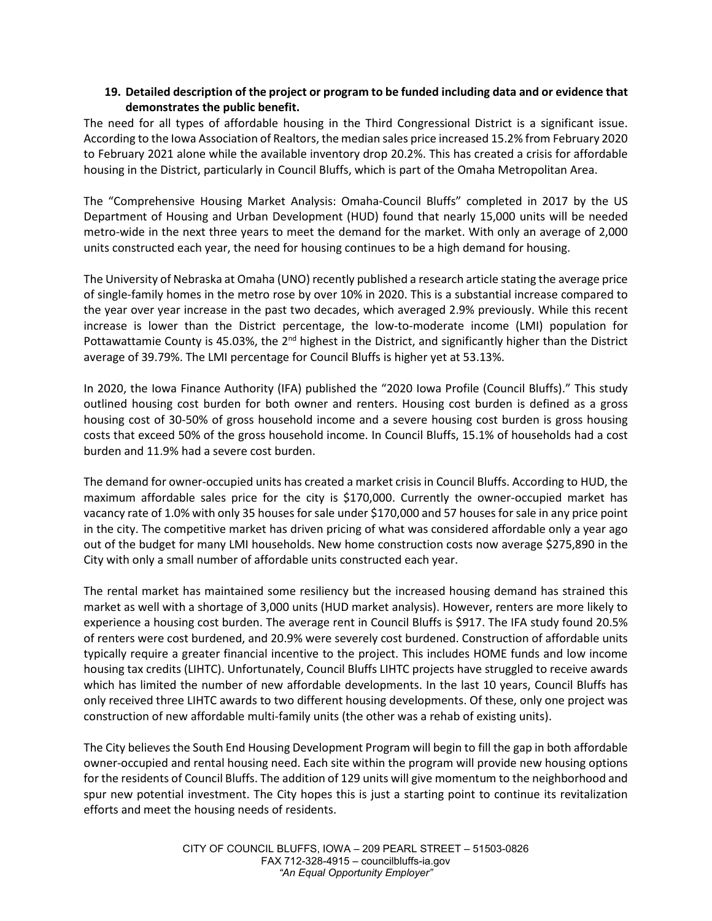#### **19. Detailed description of the project or program to be funded including data and or evidence that demonstrates the public benefit.**

The need for all types of affordable housing in the Third Congressional District is a significant issue. According to the Iowa Association of Realtors, the median sales price increased 15.2% from February 2020 to February 2021 alone while the available inventory drop 20.2%. This has created a crisis for affordable housing in the District, particularly in Council Bluffs, which is part of the Omaha Metropolitan Area.

The "Comprehensive Housing Market Analysis: Omaha-Council Bluffs" completed in 2017 by the US Department of Housing and Urban Development (HUD) found that nearly 15,000 units will be needed metro-wide in the next three years to meet the demand for the market. With only an average of 2,000 units constructed each year, the need for housing continues to be a high demand for housing.

The University of Nebraska at Omaha (UNO) recently published a research article stating the average price of single-family homes in the metro rose by over 10% in 2020. This is a substantial increase compared to the year over year increase in the past two decades, which averaged 2.9% previously. While this recent increase is lower than the District percentage, the low-to-moderate income (LMI) population for Pottawattamie County is 45.03%, the  $2^{nd}$  highest in the District, and significantly higher than the District average of 39.79%. The LMI percentage for Council Bluffs is higher yet at 53.13%.

In 2020, the Iowa Finance Authority (IFA) published the "2020 Iowa Profile (Council Bluffs)." This study outlined housing cost burden for both owner and renters. Housing cost burden is defined as a gross housing cost of 30-50% of gross household income and a severe housing cost burden is gross housing costs that exceed 50% of the gross household income. In Council Bluffs, 15.1% of households had a cost burden and 11.9% had a severe cost burden.

The demand for owner-occupied units has created a market crisis in Council Bluffs. According to HUD, the maximum affordable sales price for the city is \$170,000. Currently the owner-occupied market has vacancy rate of 1.0% with only 35 houses for sale under \$170,000 and 57 houses for sale in any price point in the city. The competitive market has driven pricing of what was considered affordable only a year ago out of the budget for many LMI households. New home construction costs now average \$275,890 in the City with only a small number of affordable units constructed each year.

The rental market has maintained some resiliency but the increased housing demand has strained this market as well with a shortage of 3,000 units (HUD market analysis). However, renters are more likely to experience a housing cost burden. The average rent in Council Bluffs is \$917. The IFA study found 20.5% of renters were cost burdened, and 20.9% were severely cost burdened. Construction of affordable units typically require a greater financial incentive to the project. This includes HOME funds and low income housing tax credits (LIHTC). Unfortunately, Council Bluffs LIHTC projects have struggled to receive awards which has limited the number of new affordable developments. In the last 10 years, Council Bluffs has only received three LIHTC awards to two different housing developments. Of these, only one project was construction of new affordable multi-family units (the other was a rehab of existing units).

The City believes the South End Housing Development Program will begin to fill the gap in both affordable owner-occupied and rental housing need. Each site within the program will provide new housing options for the residents of Council Bluffs. The addition of 129 units will give momentum to the neighborhood and spur new potential investment. The City hopes this is just a starting point to continue its revitalization efforts and meet the housing needs of residents.